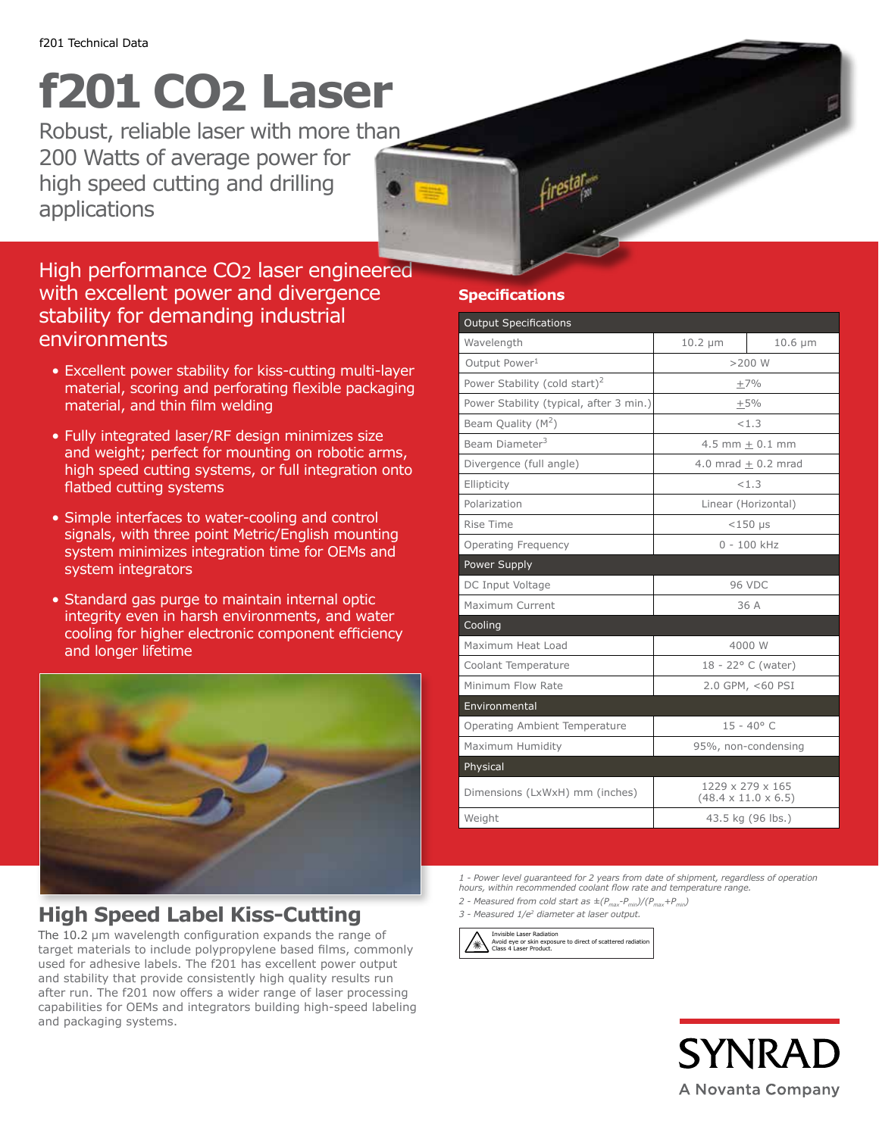## **f201 CO2 Laser**

Robust, reliable laser with more than 200 Watts of average power for high speed cutting and drilling applications

## High performance CO2 laser engineered with excellent power and divergence stability for demanding industrial **environments**

- Excellent power stability for kiss-cutting multi-layer material, scoring and perforating flexible packaging material, and thin film welding
- Fully integrated laser/RF design minimizes size and weight; perfect for mounting on robotic arms, high speed cutting systems, or full integration onto flatbed cutting systems
- Simple interfaces to water-cooling and control signals, with three point Metric/English mounting system minimizes integration time for OEMs and system integrators
- Standard gas purge to maintain internal optic integrity even in harsh environments, and water cooling for higher electronic component efficiency and longer lifetime



## **High Speed Label Kiss-Cutting**

The 10.2 µm wavelength configuration expands the range of target materials to include polypropylene based films, commonly used for adhesive labels. The f201 has excellent power output and stability that provide consistently high quality results run after run. The f201 now offers a wider range of laser processing capabilities for OEMs and integrators building high-speed labeling and packaging systems.

### **Specifications**

| <b>Output Specifications</b>              |                                                     |              |
|-------------------------------------------|-----------------------------------------------------|--------------|
| Wavelength                                | $10.2 \mu m$                                        | $10.6 \mu m$ |
| Output Power <sup>1</sup>                 | $>200$ W                                            |              |
| Power Stability (cold start) <sup>2</sup> | $\pm 7\%$                                           |              |
| Power Stability (typical, after 3 min.)   | $+5%$                                               |              |
| Beam Quality (M <sup>2</sup> )            | < 1.3                                               |              |
| Beam Diameter <sup>3</sup>                | $4.5$ mm $+$ 0.1 mm                                 |              |
| Divergence (full angle)                   | $4.0$ mrad $+0.2$ mrad                              |              |
| Ellipticity                               | < 1.3                                               |              |
| Polarization                              | Linear (Horizontal)                                 |              |
| Rise Time                                 | $<$ 150 µs                                          |              |
| <b>Operating Frequency</b>                | $0 - 100$ kHz                                       |              |
| Power Supply                              |                                                     |              |
| DC Input Voltage                          | <b>96 VDC</b>                                       |              |
| Maximum Current                           | 36 A                                                |              |
| Cooling                                   |                                                     |              |
| Maximum Heat Load                         | 4000 W                                              |              |
| Coolant Temperature                       | $18 - 22^{\circ}$ C (water)                         |              |
| Minimum Flow Rate                         | 2.0 GPM, <60 PSI                                    |              |
| Environmental                             |                                                     |              |
| Operating Ambient Temperature             | $15 - 40^{\circ}$ C                                 |              |
| Maximum Humidity                          | 95%, non-condensing                                 |              |
| Physical                                  |                                                     |              |
| Dimensions (LxWxH) mm (inches)            | 1229 x 279 x 165<br>$(48.4 \times 11.0 \times 6.5)$ |              |
| Weight                                    | 43.5 kg (96 lbs.)                                   |              |

*1 - Power level guaranteed for 2 years from date of shipment, regardless of operation hours, within recommended coolant flow rate and temperature range.*

*2 - Measured from cold start as*  $\pm (P_{max}-P_{min})/(P_{max}+P_{min})$ 

*3 - Measured 1/e2 diameter at laser output.*